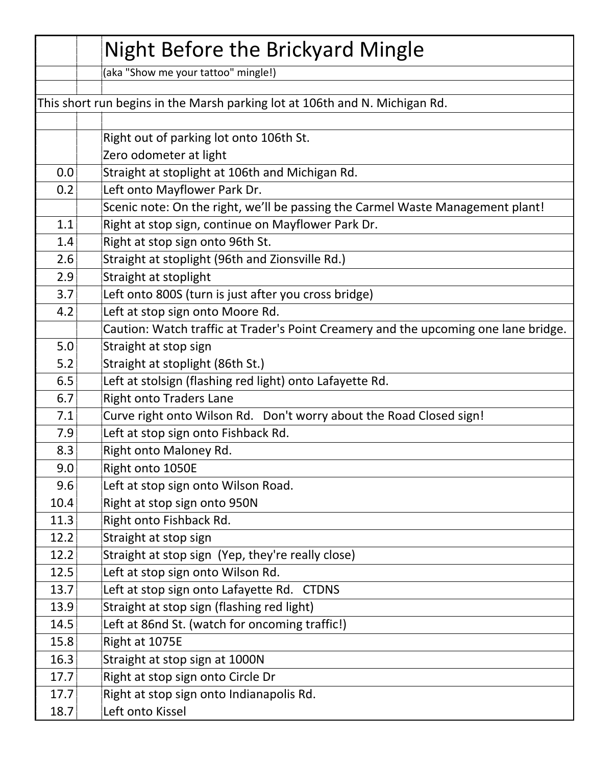|      | Night Before the Brickyard Mingle                                                   |
|------|-------------------------------------------------------------------------------------|
|      | (aka "Show me your tattoo" mingle!)                                                 |
|      |                                                                                     |
|      | This short run begins in the Marsh parking lot at 106th and N. Michigan Rd.         |
|      |                                                                                     |
|      | Right out of parking lot onto 106th St.                                             |
|      | Zero odometer at light                                                              |
| 0.0  | Straight at stoplight at 106th and Michigan Rd.                                     |
| 0.2  | Left onto Mayflower Park Dr.                                                        |
|      | Scenic note: On the right, we'll be passing the Carmel Waste Management plant!      |
| 1.1  | Right at stop sign, continue on Mayflower Park Dr.                                  |
| 1.4  | Right at stop sign onto 96th St.                                                    |
| 2.6  | Straight at stoplight (96th and Zionsville Rd.)                                     |
| 2.9  | Straight at stoplight                                                               |
| 3.7  | Left onto 800S (turn is just after you cross bridge)                                |
| 4.2  | Left at stop sign onto Moore Rd.                                                    |
|      | Caution: Watch traffic at Trader's Point Creamery and the upcoming one lane bridge. |
| 5.0  | Straight at stop sign                                                               |
| 5.2  | Straight at stoplight (86th St.)                                                    |
| 6.5  | Left at stolsign (flashing red light) onto Lafayette Rd.                            |
| 6.7  | <b>Right onto Traders Lane</b>                                                      |
| 7.1  | Curve right onto Wilson Rd. Don't worry about the Road Closed sign!                 |
| 7.9  | Left at stop sign onto Fishback Rd.                                                 |
| 8.3  | Right onto Maloney Rd.                                                              |
| 9.0  | Right onto 1050E                                                                    |
| 9.6  | Left at stop sign onto Wilson Road.                                                 |
| 10.4 | Right at stop sign onto 950N                                                        |
| 11.3 | Right onto Fishback Rd.                                                             |
| 12.2 | Straight at stop sign                                                               |
| 12.2 | Straight at stop sign (Yep, they're really close)                                   |
| 12.5 | Left at stop sign onto Wilson Rd.                                                   |
| 13.7 | Left at stop sign onto Lafayette Rd. CTDNS                                          |
| 13.9 | Straight at stop sign (flashing red light)                                          |
| 14.5 | Left at 86nd St. (watch for oncoming traffic!)                                      |
| 15.8 | Right at 1075E                                                                      |
| 16.3 | Straight at stop sign at 1000N                                                      |
| 17.7 | Right at stop sign onto Circle Dr                                                   |
| 17.7 | Right at stop sign onto Indianapolis Rd.                                            |
| 18.7 | Left onto Kissel                                                                    |